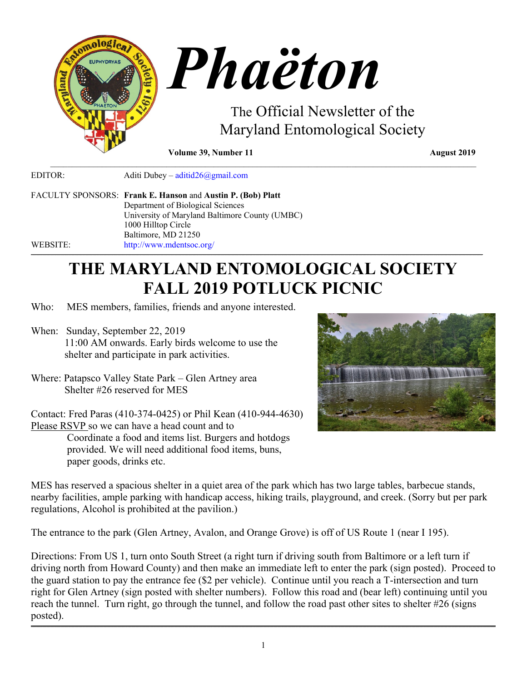

**Volume 39, Number 11** August 2019

EDITOR: Aditi Dubey – [aditid26@gmail.com](mailto:aditid26@gmail.com)

FACULTY SPONSORS: **Frank E. Hanson** and **Austin P. (Bob) Platt** Department of Biological Sciences University of Maryland Baltimore County (UMBC) 1000 Hilltop Circle Baltimore, MD 21250 WEBSITE: <http://www.mdentsoc.org/>

# **THE MARYLAND ENTOMOLOGICAL SOCIETY FALL 2019 POTLUCK PICNIC**

,我们就会在这里,我们的人们就会在这里,我们就会在这里,我们就会在这里,我们就会在这里,我们就会在这里,我们就会在这里,我们就会在这里,我们就会在这里,我们就会

 $\mathcal{L}_\mathcal{L} = \{ \mathcal{L}_\mathcal{L} = \{ \mathcal{L}_\mathcal{L} = \{ \mathcal{L}_\mathcal{L} = \{ \mathcal{L}_\mathcal{L} = \{ \mathcal{L}_\mathcal{L} = \{ \mathcal{L}_\mathcal{L} = \{ \mathcal{L}_\mathcal{L} = \{ \mathcal{L}_\mathcal{L} = \{ \mathcal{L}_\mathcal{L} = \{ \mathcal{L}_\mathcal{L} = \{ \mathcal{L}_\mathcal{L} = \{ \mathcal{L}_\mathcal{L} = \{ \mathcal{L}_\mathcal{L} = \{ \mathcal{L}_\mathcal{$ 

- Who: MES members, families, friends and anyone interested.
- When: Sunday, September 22, 2019 11:00 AM onwards. Early birds welcome to use the shelter and participate in park activities.
- Where: Patapsco Valley State Park Glen Artney area Shelter #26 reserved for MES

Contact: Fred Paras (410-374-0425) or Phil Kean (410-944-4630) Please RSVP so we can have a head count and to Coordinate a food and items list. Burgers and hotdogs provided. We will need additional food items, buns, paper goods, drinks etc.



MES has reserved a spacious shelter in a quiet area of the park which has two large tables, barbecue stands, nearby facilities, ample parking with handicap access, hiking trails, playground, and creek. (Sorry but per park regulations, Alcohol is prohibited at the pavilion.)

The entrance to the park (Glen Artney, Avalon, and Orange Grove) is off of US Route 1 (near I 195).

Directions: From US 1, turn onto South Street (a right turn if driving south from Baltimore or a left turn if driving north from Howard County) and then make an immediate left to enter the park (sign posted). Proceed to the guard station to pay the entrance fee (\$2 per vehicle). Continue until you reach a T-intersection and turn right for Glen Artney (sign posted with shelter numbers). Follow this road and (bear left) continuing until you reach the tunnel. Turn right, go through the tunnel, and follow the road past other sites to shelter #26 (signs posted).

,我们就会在这里,我们的人们就会在这里,我们就会在这里,我们就会在这里,我们就会在这里,我们就会在这里,我们就会在这里,我们就会在这里,我们就会在这里,我们就会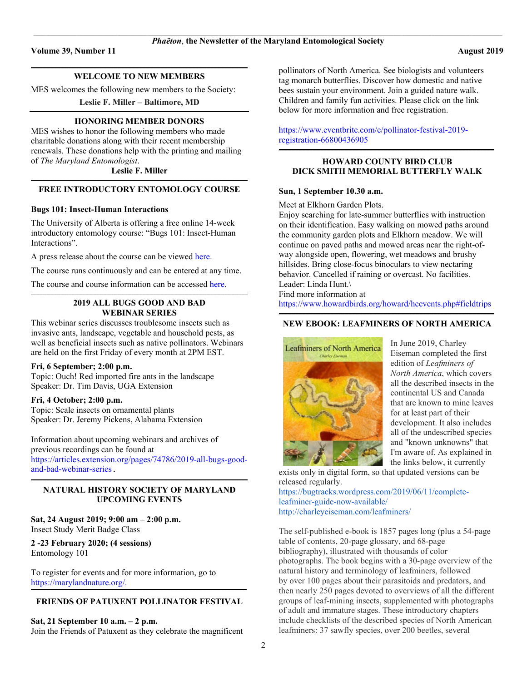#### $\mathcal{L} = \{ \mathcal{L} = \{ \mathcal{L} = \{ \mathcal{L} = \{ \mathcal{L} = \{ \mathcal{L} = \{ \mathcal{L} = \{ \mathcal{L} = \{ \mathcal{L} = \{ \mathcal{L} = \{ \mathcal{L} = \{ \mathcal{L} = \{ \mathcal{L} = \{ \mathcal{L} = \{ \mathcal{L} = \{ \mathcal{L} = \{ \mathcal{L} = \{ \mathcal{L} = \{ \mathcal{L} = \{ \mathcal{L} = \{ \mathcal{L} = \{ \mathcal{L} = \{ \mathcal{L} = \{ \mathcal{L} = \{ \mathcal{$ **WELCOME TO NEW MEMBERS**

MES welcomes the following new members to the Society:

**Leslie F. Miller – Baltimore, MD**

#### **HONORING MEMBER DONORS**

MES wishes to honor the following members who made charitable donations along with their recent membership renewals. These donations help with the printing and mailing of *The Maryland Entomologist*.

**Leslie F. Miller \_\_\_\_\_\_\_\_\_\_\_\_\_\_\_\_\_\_\_\_\_\_\_\_\_\_\_\_\_\_\_\_\_\_\_\_\_\_\_\_\_\_\_\_\_\_\_\_\_\_\_\_\_\_\_\_\_\_\_\_\_\_\_\_\_\_\_\_\_\_\_\_\_\_\_\_\_\_\_\_\_\_\_\_\_\_\_\_\_\_\_\_\_\_\_\_\_\_\_\_\_\_\_\_\_\_\_\_\_\_\_\_\_\_\_\_\_\_\_\_\_\_\_\_\_\_\_\_\_\_\_\_\_\_\_\_\_\_\_\_\_\_\_\_\_\_\_\_\_\_\_\_\_\_\_\_\_\_\_\_\_\_\_\_\_\_\_\_**

# **FREE INTRODUCTORY ENTOMOLOGY COURSE**

## **Bugs 101: Insect-Human Interactions**

The University of Alberta is offering a free online 14-week introductory entomology course: "Bugs 101: Insect-Human Interactions".

A press release about the course can be viewed [here.](https://edmontonjournal.com/news/local-news/free-online-u-of-a-course-teaches-value-of-bugs%20.)

The course runs continuously and can be entered at any time.

The course and course information can be accesse[d here.](https://www.coursera.org/learn/bugs-101%20.)

#### **\_\_\_\_\_\_\_\_\_\_\_\_\_\_\_\_\_\_\_\_\_\_\_\_\_\_\_\_\_\_\_\_\_\_\_\_\_\_\_\_\_\_\_\_\_\_\_\_\_\_\_\_\_\_\_\_\_\_\_\_\_\_\_\_\_\_\_\_\_\_\_\_\_\_\_\_\_\_\_\_\_\_\_\_\_\_\_\_\_\_\_\_\_\_\_\_\_\_\_\_\_\_\_\_\_\_\_\_\_\_\_\_\_\_\_\_\_\_\_\_\_\_\_\_\_\_\_\_\_\_\_\_\_\_\_\_\_\_\_\_\_\_\_\_\_\_\_\_\_\_\_\_\_\_\_\_\_\_\_\_\_\_\_\_\_\_\_\_ 2019 ALL BUGS GOOD AND BAD WEBINAR SERIES**

This webinar series discusses troublesome insects such as invasive ants, landscape, vegetable and household pests, as well as beneficial insects such as native pollinators. Webinars are held on the first Friday of every month at 2PM EST.

# **Fri, 6 September; 2:00 p.m.**

Topic: Ouch! Red imported fire ants in the landscape Speaker: Dr. Tim Davis, UGA Extension

#### **Fri, 4 October; 2:00 p.m.**

Topic: Scale insects on ornamental plants Speaker: Dr. Jeremy Pickens, Alabama Extension

Information about upcoming webinars and archives of previous recordings can be found at [https://articles.extension.org/pages/74786/2019-all-bugs-good](https://articles.extension.org/pages/74786/2019-all-bugs-good-and-bad-webinar-series)[and-bad-webinar-series](https://articles.extension.org/pages/74786/2019-all-bugs-good-and-bad-webinar-series).

#### **\_\_\_\_\_\_\_\_\_\_\_\_\_\_\_\_\_\_\_\_\_\_\_\_\_\_\_\_\_\_\_\_\_\_\_\_\_\_\_\_\_\_\_\_\_\_\_\_\_\_\_\_\_\_\_\_\_\_\_\_\_\_\_\_\_\_\_\_\_\_\_\_\_\_\_\_\_\_\_\_\_\_\_\_\_\_\_\_\_\_\_\_\_\_\_\_\_\_\_\_\_\_\_\_\_\_\_\_\_\_\_\_\_\_\_\_\_\_\_\_\_\_\_\_\_\_\_\_\_\_\_\_\_\_\_\_\_\_\_\_\_\_\_\_\_\_\_\_\_\_\_\_\_\_\_\_\_\_\_\_\_\_\_\_\_\_\_\_ NATURAL HISTORY SOCIETY OF MARYLAND UPCOMING EVENTS**

**Sat, 24 August 2019; 9:00 am – 2:00 p.m.** Insect Study Merit Badge Class

# **2 -23 February 2020; (4 sessions)** Entomology 101

To register for events and for more information, go to [https://marylandnature.org/.](https://marylandnature.org/)

#### $\mathcal{L} = \{ \mathcal{L} = \{ \mathcal{L} = \{ \mathcal{L} = \{ \mathcal{L} = \{ \mathcal{L} = \{ \mathcal{L} = \{ \mathcal{L} = \{ \mathcal{L} = \{ \mathcal{L} = \{ \mathcal{L} = \{ \mathcal{L} = \{ \mathcal{L} = \{ \mathcal{L} = \{ \mathcal{L} = \{ \mathcal{L} = \{ \mathcal{L} = \{ \mathcal{L} = \{ \mathcal{L} = \{ \mathcal{L} = \{ \mathcal{L} = \{ \mathcal{L} = \{ \mathcal{L} = \{ \mathcal{L} = \{ \mathcal{$ **FRIENDS OF PATUXENT POLLINATOR FESTIVAL**

**Sat, 21 September 10 a.m. – 2 p.m.**

Join the Friends of Patuxent as they celebrate the magnificent

pollinators of North America. See biologists and volunteers tag monarch butterflies. Discover how domestic and native bees sustain your environment. Join a guided nature walk. Children and family fun activities. Please click on the link below for more information and free registration.

[https://www.eventbrite.com/e/pollinator-festival-2019](https://www.eventbrite.com/e/pollinator-festival-2019-registration-66800436905) [registration-66800436905](https://www.eventbrite.com/e/pollinator-festival-2019-registration-66800436905) 

### **HOWARD COUNTY BIRD CLUB DICK SMITH MEMORIAL BUTTERFLY WALK**

 $\mathcal{L} = \{ \mathcal{L} = \{ \mathcal{L} = \{ \mathcal{L} = \{ \mathcal{L} = \{ \mathcal{L} = \{ \mathcal{L} = \{ \mathcal{L} = \{ \mathcal{L} = \{ \mathcal{L} = \{ \mathcal{L} = \{ \mathcal{L} = \{ \mathcal{L} = \{ \mathcal{L} = \{ \mathcal{L} = \{ \mathcal{L} = \{ \mathcal{L} = \{ \mathcal{L} = \{ \mathcal{L} = \{ \mathcal{L} = \{ \mathcal{L} = \{ \mathcal{L} = \{ \mathcal{L} = \{ \mathcal{L} = \{ \mathcal{$ 

## **Sun, 1 September 10.30 a.m.**

Meet at Elkhorn Garden Plots.

Enjoy searching for late-summer butterflies with instruction on their identification. Easy walking on mowed paths around the community garden plots and Elkhorn meadow. We will continue on paved paths and mowed areas near the right-ofway alongside open, flowering, wet meadows and brushy hillsides. Bring close-focus binoculars to view nectaring behavior. Cancelled if raining or overcast. No facilities. Leader: Linda Hunt.\

Find more information at

[https://www.howardbirds.org/howard/hcevents.php#fieldtrips](https://www.howardbirds.org/howard/hcevents.php%23fieldtrips)  $\mathcal{L} = \{ \mathcal{L} = \{ \mathcal{L} = \{ \mathcal{L} = \{ \mathcal{L} = \{ \mathcal{L} = \{ \mathcal{L} = \{ \mathcal{L} = \{ \mathcal{L} = \{ \mathcal{L} = \{ \mathcal{L} = \{ \mathcal{L} = \{ \mathcal{L} = \{ \mathcal{L} = \{ \mathcal{L} = \{ \mathcal{L} = \{ \mathcal{L} = \{ \mathcal{L} = \{ \mathcal{L} = \{ \mathcal{L} = \{ \mathcal{L} = \{ \mathcal{L} = \{ \mathcal{L} = \{ \mathcal{L} = \{ \mathcal{$ 

# **NEW EBOOK: LEAFMINERS OF NORTH AMERICA**



In June 2019, Charley Eiseman completed the first edition of *Leafminers of North America*, which covers all the described insects in the continental US and Canada that are known to mine leaves for at least part of their development. It also includes all of the undescribed species and "known unknowns" that I'm aware of. As explained in the links below, it currently

exists only in digital form, so that updated versions can be released regularly.

[https://bugtracks.wordpress.com/2019/06/11/complete](https://bugtracks.wordpress.com/2019/06/11/complete-leafminer-guide-now-available/)[leafminer-guide-now-available/](https://bugtracks.wordpress.com/2019/06/11/complete-leafminer-guide-now-available/) <http://charleyeiseman.com/leafminers/>

The self-published e-book is 1857 pages long (plus a 54-page table of contents, 20-page glossary, and 68-page bibliography), illustrated with thousands of color photographs. The book begins with a 30-page overview of the natural history and terminology of leafminers, followed by over 100 pages about their parasitoids and predators, and then nearly 250 pages devoted to overviews of all the different groups of leaf-mining insects, supplemented with photographs of adult and immature stages. These introductory chapters include checklists of the described species of North American leafminers: 37 sawfly species, over 200 beetles, several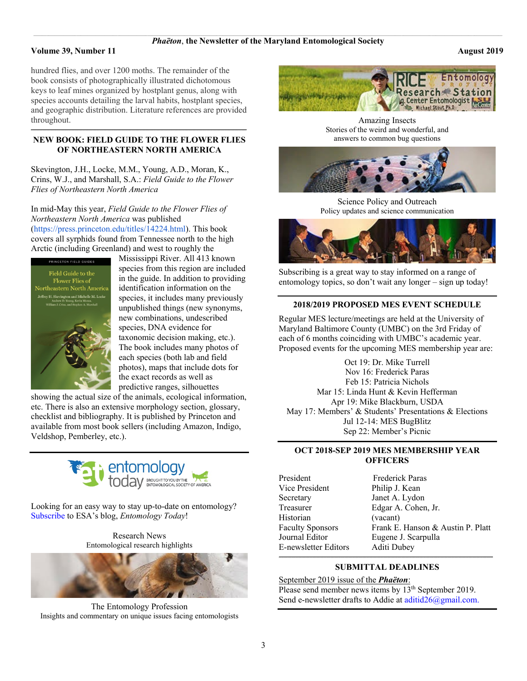#### **Volume 39, Number 11 August 2019**

hundred flies, and over 1200 moths. The remainder of the book consists of photographically illustrated dichotomous keys to leaf mines organized by hostplant genus, along with species accounts detailing the larval habits, hostplant species, and geographic distribution. Literature references are provided throughout.

#### **\_\_\_\_\_\_\_\_\_\_\_\_\_\_\_\_\_\_\_\_\_\_\_\_\_\_\_\_\_\_\_\_\_\_\_\_\_\_\_\_\_\_\_\_\_\_\_\_\_\_\_\_\_\_\_\_\_\_\_\_\_\_\_\_\_\_\_\_\_\_\_\_\_\_\_\_\_\_\_\_\_\_\_\_\_\_\_\_\_\_\_\_\_\_\_\_\_\_\_\_\_\_\_\_\_\_\_\_\_\_\_\_\_\_\_\_\_\_\_\_\_\_\_\_\_\_\_\_\_\_\_\_\_\_\_\_\_\_\_\_\_\_\_\_\_\_\_\_\_\_\_\_\_\_\_\_\_\_\_\_\_\_\_\_\_\_\_ NEW BOOK: FIELD GUIDE TO THE FLOWER FLIES OF NORTHEASTERN NORTH AMERICA**

Skevington, J.H., Locke, M.M., Young, A.D., Moran, K., Crins, W.J., and Marshall, S.A.: *Field Guide to the Flower Flies of Northeastern North America*

In mid-May this year, *Field Guide to the Flower Flies of Northeastern North America* was published [\(https://press.princeton.edu/titles/14224.html\)](https://press.princeton.edu/titles/14224.html). This book covers all syrphids found from Tennessee north to the high Arctic (including Greenland) and west to roughly the



Mississippi River. All 413 known species from this region are included in the guide. In addition to providing identification information on the species, it includes many previously unpublished things (new synonyms, new combinations, undescribed species, DNA evidence for taxonomic decision making, etc.). The book includes many photos of each species (both lab and field photos), maps that include dots for the exact records as well as predictive ranges, silhouettes

showing the actual size of the animals, ecological information, etc. There is also an extensive morphology section, glossary, checklist and bibliography. It is published by Princeton and available from most book sellers (including Amazon, Indigo, Veldshop, Pemberley, etc.).



Looking for an easy way to stay up-to-date on entomology? [Subscribe](http://send.entsoc.org/link.cfm?r=DKvCmbwSA2BQ3mT4gxit9w%7E%7E&pe=qgs756rdZGHVzil22Cqcfez9wkcBfzH29lUH546UCb5LF0jP8O-6IfF7ZICyK0PGP_-uqMdWKetyZG4RmkTROA%7E%7E&t=INSERT_TRACKING_ENCID) to ESA's blog, *Entomology Today*!

> Research News Entomological research highlights



The Entomology Profession Insights and commentary on unique issues facing entomologists



Amazing Insects Stories of the weird and wonderful, and answers to common bug questions



Science Policy and Outreach Policy updates and science communication



Subscribing is a great way to stay informed on a range of entomology topics, so don't wait any longer – sign up today!

## **2018/2019 PROPOSED MES EVENT SCHEDULE**

Regular MES lecture/meetings are held at the University of Maryland Baltimore County (UMBC) on the 3rd Friday of each of 6 months coinciding with UMBC's academic year. Proposed events for the upcoming MES membership year are:

Oct 19: Dr. Mike Turrell Nov 16: Frederick Paras Feb 15: Patricia Nichols Mar 15: Linda Hunt & Kevin Hefferman Apr 19: Mike Blackburn, USDA May 17: Members' & Students' Presentations & Elections Jul 12-14: MES BugBlitz Sep 22: Member's Picnic

## **OCT 2018-SEP 2019 MES MEMBERSHIP YEAR OFFICERS**

President Frederick Paras Vice President Philip J. Kean Secretary Janet A. Lydon Historian (vacant) E-newsletter Editors Aditi Dubey

Treasurer Edgar A. Cohen, Jr. Faculty Sponsors Frank E. Hanson & Austin P. Platt Journal Editor Eugene J. Scarpulla

#### **\_\_\_\_\_\_\_\_\_\_\_\_\_\_\_\_\_\_\_\_\_\_\_\_\_\_\_\_\_\_\_\_\_\_\_\_\_\_\_\_\_\_\_\_\_\_\_\_\_\_\_\_\_\_\_\_\_\_\_\_\_\_\_\_\_\_\_\_\_\_\_\_\_\_\_\_\_\_\_\_\_\_\_\_\_\_\_\_\_\_\_\_\_\_\_\_\_\_\_\_\_\_\_\_\_\_\_\_\_\_\_\_\_\_\_\_\_\_\_\_\_\_\_\_\_\_\_\_\_\_\_\_\_\_\_\_\_\_\_\_\_\_\_\_\_\_\_\_\_\_\_\_\_\_\_\_\_\_\_\_\_\_\_\_\_\_ SUBMITTAL DEADLINES**

September 2019 issue of the *Phaëton*: Please send member news items by 13<sup>th</sup> September 2019. Send e-newsletter drafts to Addie at  $\frac{adiid26(\omega)$ gmail.com.